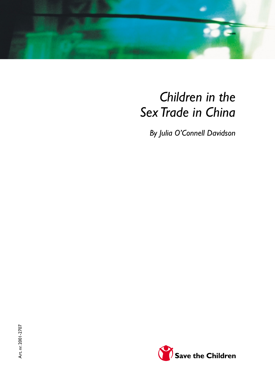

# *Children in the Sex Trade in China*

*By Julia O'Connell Davidson*

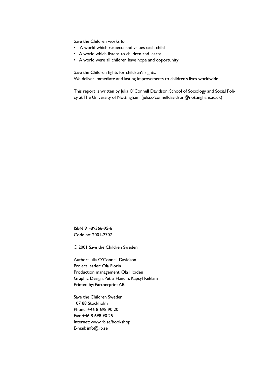Save the Children works for:

- A world which respects and values each child
- A world which listens to children and learns
- A world were all children have hope and opportunity

Save the Children fights for children's rights.

We deliver immediate and lasting improvements to children's lives worldwide.

This report is written by Julia O'Connell Davidson, School of Sociology and Social Policy at The University of Nottingham. (julia.o'connelldavidson@nottingham.ac.uk)

ISBN 91-89366-95-6 Code no: 2001-2707

© 2001 Save the Children Sweden

Author: Julia O'Connell Davidson Project leader: Ola Florin Production management: Ola Höiden Graphic Design: Petra Handin, Kapsyl Reklam Printed by: Partnerprint AB

Save the Children Sweden 107 88 Stockholm Phone: +46 8 698 90 20 Fax: +46 8 698 90 25 Internet: www.rb.se/bookshop E-mail: info@rb.se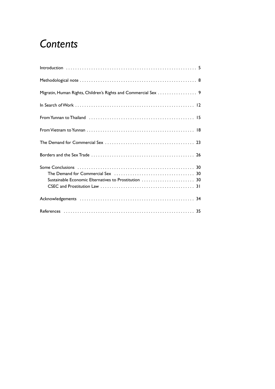### *Contents*

| Migratin, Human Rights, Children's Rights and Commercial Sex 9 |  |
|----------------------------------------------------------------|--|
|                                                                |  |
|                                                                |  |
|                                                                |  |
|                                                                |  |
|                                                                |  |
|                                                                |  |
|                                                                |  |
| Sustainable Economic Elternatives to Prostitution  30          |  |
|                                                                |  |
|                                                                |  |
|                                                                |  |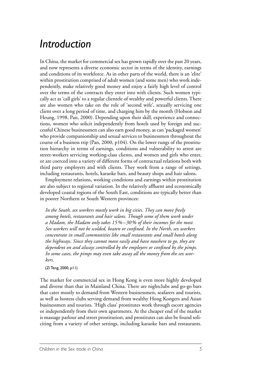### *Introduction*

In China, the market for commercial sex has grown rapidly over the past 20 years, and now represents a diverse economic sector in terms of the identity, earnings and conditions of its workforce. As in other parts of the world, there is an 'elite' within prostitution comprised of adult women (and some men) who work independently, make relatively good money and enjoy a fairly high level of control over the terms of the contracts they enter into with clients. Such women typically act as 'call girls' to a regular clientele of wealthy and powerful clients. There are also women who take on the role of 'second wife', sexually servicing one client over a long period of time, and charging him by the month (Hobson and Heung, 1998, Pan, 2000). Depending upon their skill, experience and connections, women who solicit independently from hotels used by foreign and successful Chinese businessmen can also earn good money, as can 'packaged women' who provide companionship and sexual services to businessmen throughout the course of a business trip (Pan, 2000, p104). On the lower rungs of the prostitution hierarchy in terms of earnings, conditions and vulnerability to arrest are street-workers servicing working-class clients, and women and girls who enter, or are coerced into a variety of different forms of contractual relations both with third party employers and with clients. They work from a range of settings, including restaurants, hotels, karaoke bars, and beauty shops and hair salons.

Employment relations, working conditions and earnings within prostitution are also subject to regional variation. In the relatively affluent and economically developed coastal regions of the South East, conditions are typically better than in poorer Northern or South Western provinces:

*In the South, sex workers mostly work in big cities. They can move freely among hotels, restaurants and hair salons. Though some of them work under a Madam, the Madam only takes 15%–30% of their incomes for the most. Sex workers will not be scolded, beaten or confined. In the North, sex workers concentrate in small communities like small restaurants and small hotels along the highways. Since they cannot move easily and have nowhere to go, they are dependent on and always controlled by the employers or confined by the pimps. In some cases, the pimps may even take away all the money from the sex workers.* 

(Zi Teng, 2000, p11)

The market for commercial sex in Hong Kong is even more highly developed and diverse than that in Mainland China. There are nightclubs and go-go bars that cater mostly to demand from Western businessmen, seafarers and tourists, as well as hostess clubs serving demand from wealthy Hong Kongers and Asian businessmen and tourists. 'High class' prostitutes work through escort agencies or independently from their own apartments. At the cheaper end of the market is massage parlour and street prostitution, and prostitutes can also be found soliciting from a variety of other settings, including karaoke bars and restaurants.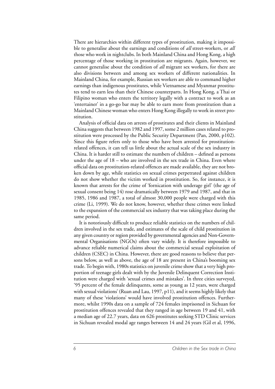There are hierarchies within different types of prostitution, making it impossible to generalise about the earnings and conditions of *all* street-workers, or *all* those who work in nightclubs. In both Mainland China and Hong Kong, a high percentage of those working in prostitution are migrants. Again, however, we cannot generalise about the condition of *all* migrant sex workers, for there are also divisions between and among sex workers of different nationalities. In Mainland China, for example, Russian sex workers are able to command higher earnings than indigenous prostitutes, while Vietnamese and Myanmar prostitutes tend to earn less than their Chinese counterparts. In Hong Kong, a Thai or Filipino woman who enters the territory legally with a contract to work as an 'entertainer' in a go-go bar may be able to earn more from prostitution than a Mainland Chinese woman who enters Hong Kong illegally to work in street prostitution.

Analysis of official data on arrests of prostitutes and their clients in Mainland China suggests that between 1982 and 1997, some 2 million cases related to prostitution were processed by the Public Security Department (Pan, 2000, p102). Since this figure refers only to those who have been arrested for prostitutionrelated offences, it can tell us little about the actual scale of the sex industry in China. It is harder still to estimate the numbers of children – defined as persons under the age of 18 – who are involved in the sex trade in China. Even where official data on prostitution-related offences are made available, they are not broken down by age, while statistics on sexual crimes perpetrated against children do not show whether the victim worked in prostitution. So, for instance, it is known that arrests for the crime of 'fornication with underage girl' (the age of sexual consent being 14) rose dramatically between 1979 and 1987, and that in 1985, 1986 and 1987, a total of almost 30,000 people were charged with this crime (Li, 1999). We do not know, however, whether these crimes were linked to the expansion of the commercial sex industry that was taking place during the same period.

It is notoriously difficult to produce reliable statistics on the numbers of children involved in the sex trade, and estimates of the scale of child prostitution in any given country or region provided by governmental agencies and Non-Governmental Organisations (NGOs) often vary widely. It is therefore impossible to advance reliable numerical claims about the commercial sexual exploitation of children (CSEC) in China. However, there are good reasons to believe that persons below, as well as above, the age of 18 are present in China's booming sex trade. To begin with, 1980s statistics on juvenile crime show that a very high proportion of teenage girls dealt with by the Juvenile Delinquent Correction Institution were charged with 'sexual crimes and mistakes'. In three cities surveyed, '95 percent of the female delinquents, some as young as 12 years, were charged with sexual violations' (Ruan and Lau, 1997, p11), and it seems highly likely that many of these 'violations' would have involved prostitution offences. Furthermore, whilst 1990s data on a sample of 724 females imprisoned in Sichuan for prostitution offences revealed that they ranged in age between 19 and 41, with a median age of 22.7 years, data on 626 prostitutes seeking STD Clinic services in Sichuan revealed modal age ranges between 14 and 24 years (Gil et al, 1996,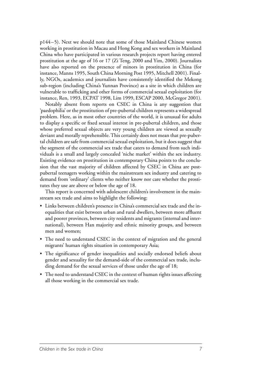p144–5). Next we should note that some of those Mainland Chinese women working in prostitution in Macau and Hong Kong and sex workers in Mainland China who have participated in various research projects report having entered prostitution at the age of 16 or 17 (Zi Teng, 2000 and Yim, 2000). Journalists have also reported on the presence of minors in prostitution in China (for instance, Manns 1995, South China Morning Post 1995, Mitchell 2001). Finally, NGOs, academics and journalists have consistently identified the Mekong sub-region (including China's Yunnan Province) as a site in which children are vulnerable to trafficking and other forms of commercial sexual exploitation (for instance, Ren, 1993, ECPAT 1998, Lim 1999, ESCAP 2000, McGregor 2001).

Notably absent from reports on CSEC in China is any suggestion that 'paedophilia' or the prostitution of pre-pubertal children represents a widespread problem. Here, as in most other countries of the world, it is unusual for adults to display a specific or fixed sexual interest in pre-pubertal children, and those whose preferred sexual objects are very young children are viewed as sexually deviant and morally reprehensible. This certainly does not mean that pre-pubertal children are safe from commercial sexual exploitation, but it does suggest that the segment of the commercial sex trade that caters to demand from such individuals is a small and largely concealed 'niche market' within the sex industry. Existing evidence on prostitution in contemporary China points to the conclusion that the vast majority of children affected by CSEC in China are postpubertal teenagers working within the mainstream sex industry and catering to demand from 'ordinary' clients who neither know nor care whether the prostitutes they use are above or below the age of 18.

This report is concerned with adolescent children's involvement in the mainstream sex trade and aims to highlight the following:

- Links between children's presence in China's commercial sex trade and the inequalities that exist between urban and rural dwellers, between more affluent and poorer provinces, between city residents and migrants (internal and international), between Han majority and ethnic minority groups, and between men and women;
- The need to understand CSEC in the context of migration and the general migrants' human rights situation in contemporary Asia;
- The significance of gender inequalities and socially endorsed beliefs about gender and sexuality for the demand-side of the commercial sex trade, including demand for the sexual services of those under the age of 18;
- The need to understand CSEC in the context of human rights issues affecting all those working in the commercial sex trade.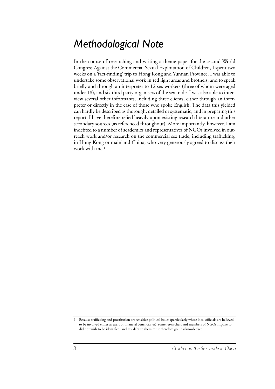#### *Methodological Note*

In the course of researching and writing a theme paper for the second World Congress Against the Commercial Sexual Exploitation of Children, I spent two weeks on a 'fact-finding' trip to Hong Kong and Yunnan Province. I was able to undertake some observational work in red light areas and brothels, and to speak briefly and through an interpreter to 12 sex workers (three of whom were aged under 18), and six third party organisers of the sex trade. I was also able to interview several other informants, including three clients, either through an interpreter or directly in the case of those who spoke English. The data this yielded can hardly be described as thorough, detailed or systematic, and in preparing this report, I have therefore relied heavily upon existing research literature and other secondary sources (as referenced throughout). More importantly, however, I am indebted to a number of academics and representatives of NGOs involved in outreach work and/or research on the commercial sex trade, including trafficking, in Hong Kong or mainland China, who very generously agreed to discuss their work with me.<sup>1</sup>

<sup>1</sup> Because trafficking and prostitution are sensitive political issues (particularly where local officials are believed to be involved either as users or financial beneficiaries), some researchers and members of NGOs I spoke to did not wish to be identified, and my debt to them must therefore go unacknowledged.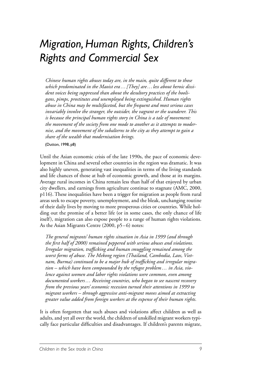# *Migration, Human Rights, Children's Rights and Commercial Sex*

*Chinese human rights abuses today are, in the main, quite different to those which predominated in the Maoist era…[They] are…less about heroic dissident voices being suppressed than about the desultory practices of the hooligans, pimps, prostitutes and unemployed being extinguished. Human rights abuse in China may be multifaceted, but the frequent and most serious cases invariably involve the stranger, the outsider, the vagrant or the wanderer. This is because the principal human rights story in China is a tale of movement: the movement of the society from one mode to another as it attempts to modernise, and the movement of the subalterns to the city as they attempt to gain a share of the wealth that modernisation brings.* 

#### (Dutton, 1998, p8)

Until the Asian economic crisis of the late 1990s, the pace of economic development in China and several other countries in the region was dramatic. It was also highly uneven, generating vast inequalities in terms of the living standards and life chances of those at hub of economic growth, and those at its margins. Average rural incomes in China remain less than half of that enjoyed by urban city dwellers, and earnings from agriculture continue to stagnate (AMC, 2000, p116). These inequalities have been a trigger for migration as people from rural areas seek to escape poverty, unemployment, and the bleak, unchanging routine of their daily lives by moving to more prosperous cities or countries. While holding out the promise of a better life (or in some cases, the only chance of life itself), migration can also expose people to a range of human rights violations. As the Asian Migrants Centre (2000, p5–6) notes:

*The general migrants' human rights situation in Asia in 1999 (and through the first half of 2000) remained peppered with serious abuses and violations. Irregular migration, trafficking and human smuggling remained among the worst forms of abuse. The Mekong region (Thailand, Cambodia, Laos, Vietnam, Burma) continued to be a major hub of trafficking and irregular migration – which have been compounded by the refugee problem… in Asia, violence against women and labor rights violations were common, even among documented workers… Receiving countries, who began to see nascent recovery from the previous years' economic recession turned their attentions in 1999 to migrant workers – through aggressive anti-migrant moves aimed at extracting greater value added from foreign workers at the expense of their human rights.*

It is often forgotten that such abuses and violations affect children as well as adults, and yet all over the world, the children of unskilled migrant workers typically face particular difficulties and disadvantages. If children's parents migrate,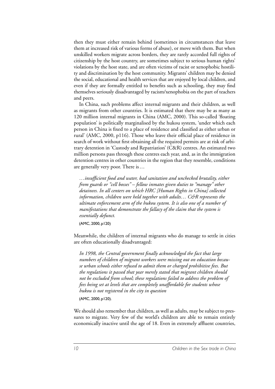then they must either remain behind (sometimes in circumstances that leave them at increased risk of various forms of abuse), or move with them. But when unskilled workers migrate across borders, they are rarely accorded full rights of citizenship by the host country, are sometimes subject to serious human rights' violations by the host state, and are often victims of racist or xenophobic hostility and discrimination by the host community. Migrants' children may be denied the social, educational and health services that are enjoyed by local children, and even if they are formally entitled to benefits such as schooling, they may find themselves seriously disadvantaged by racism/xenophobia on the part of teachers and peers.

In China, such problems affect internal migrants and their children, as well as migrants from other countries. It is estimated that there may be as many as 120 million internal migrants in China (AMC, 2000). This so-called 'floating population' is politically marginalised by the hukou system, 'under which each person in China is fixed to a place of residence and classified as either urban or rural' (AMC, 2000, p116). Those who leave their official place of residence in search of work without first obtaining all the required permits are at risk of arbitrary detention in 'Custody and Repatriation' (C&R) centres. An estimated two million persons pass through these centres each year, and, as in the immigration detention centres in other countries in the region that they resemble, conditions are generally very poor. There is…

*…insufficient food and water, bad sanitation and unchecked brutality, either from guards or "cell bosses" – fellow inmates given duties to "manage" other detainees. In all centers on which HRC [Human Rights in China] collected information, children were held together with adults… C&R represents the ultimate enforcement arm of the hukou system. It is also one of a number of manifestations that demonstrate the fallacy of the claim that the system is essentially defunct.* 

(AMC, 2000, p120)

Meanwhile, the children of internal migrants who do manage to settle in cities are often educationally disadvantaged:

*In 1998, the Central government finally acknowledged the fact that large numbers of children of migrant workers were missing out on education because urban schools either refused to admit them or charged prohibitive fees. But the regulations it passed that year merely stated that migrant children should not be excluded from school; these regulations failed to address the problem of fees being set at levels that are completely unaffordable for students whose hukou is not registered in the city in question* 

(AMC, 2000, p120).

We should also remember that children, as well as adults, may be subject to pressures to migrate. Very few of the world's children are able to remain entirely economically inactive until the age of 18. Even in extremely affluent countries,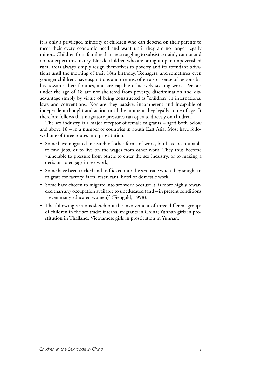it is only a privileged minority of children who can depend on their parents to meet their every economic need and want until they are no longer legally minors. Children from families that are struggling to subsist certainly cannot and do not expect this luxury. Nor do children who are brought up in impoverished rural areas always simply resign themselves to poverty and its attendant privations until the morning of their 18th birthday. Teenagers, and sometimes even younger children, have aspirations and dreams, often also a sense of responsibility towards their families, and are capable of actively seeking work. Persons under the age of 18 are not sheltered from poverty, discrimination and disadvantage simply by virtue of being constructed as "children" in international laws and conventions. Nor are they passive, incompetent and incapable of independent thought and action until the moment they legally come of age. It therefore follows that migratory pressures can operate directly on children.

The sex industry is a major receptor of female migrants – aged both below and above 18 – in a number of countries in South East Asia. Most have followed one of three routes into prostitution:

- Some have migrated in search of other forms of work, but have been unable to find jobs, or to live on the wages from other work. They thus become vulnerable to pressure from others to enter the sex industry, or to making a decision to engage in sex work;
- Some have been tricked and trafficked into the sex trade when they sought to migrate for factory, farm, restaurant, hotel or domestic work;
- Some have chosen to migrate into sex work because it 'is more highly rewarded than any occupation available to uneducated (and – in present conditions – even many educated women)' (Fiengold, 1998).
- The following sections sketch out the involvement of three different groups of children in the sex trade: internal migrants in China; Yunnan girls in prostitution in Thailand; Vietnamese girls in prostitution in Yunnan.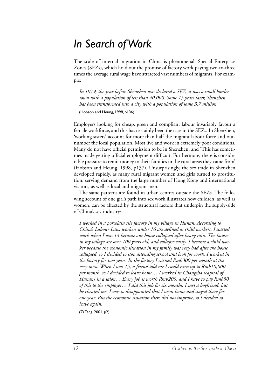### *In Search of Work*

The scale of internal migration in China is phenomenal. Special Enterprise Zones (SEZs), which hold out the promise of factory work paying two-to-three times the average rural wage have attracted vast numbers of migrants. For example:

*In 1979, the year before Shenzhen was declared a SEZ, it was a small border town with a population of less than 40,000. Some 15 years later, Shenzhen has been transformed into a city with a population of some 3.7 million*  (Hobson and Heung, 1998, p136).

Employers looking for cheap, green and compliant labour invariably favour a female workforce, and this has certainly been the case in the SEZs. In Shenzhen, 'working sisters' account for more than half the migrant labour force and outnumber the local population. Most live and work in extremely poor conditions. Many do not have official permission to be in Shenzhen, and 'This has sometimes made getting official employment difficult. Furthermore, there is considerable pressure to remit money to their families in the rural areas they came from' (Hobson and Heung, 1998, p137). Unsurprisingly, the sex trade in Shenzhen developed rapidly, as many rural migrant women and girls turned to prostitution, serving demand from the large number of Hong Kong and international visitors, as well as local and migrant men.

The same patterns are found in urban centres outside the SEZs. The following account of one girl's path into sex work illustrates how children, as well as women, can be affected by the structural factors that underpin the supply-side of China's sex industry:

*I worked in a porcelain tile factory in my village in Hunan. According to China's Labour Law, workers under 16 are defined as child workers. I started work when I was 13 because our house collapsed after heavy rain. The houses in my village are over 100 years old, and collapse easily. I became a child worker because the economic situation in my family was very bad after the house collapsed, so I decided to stop attending school and look for work. I worked in the factory for two years. In the factory I earned Rmb300 per month at the very most. When I was 15, a friend told me I could earn up to Rmb10,000 per month, so I decided to leave home… I worked in Changsha [capital of Hunan] in a salon… Every job is worth Rmb200, and I have to pay Rmb50 of this to the employer… I did this job for six months. I met a boyfriend, but he cheated me. I was so disappointed that I went home and stayed there for one year. But the economic situation there did not improve, so I decided to leave again.* 

(Zi Teng, 2001, p2)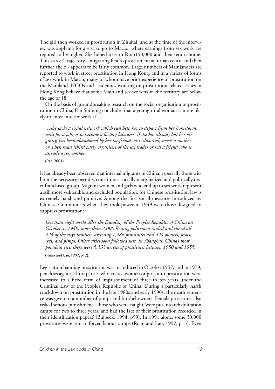The girl then worked in prostitution in Zhuhai, and at the time of the interview was applying for a visa to go to Macao, where earnings from sex work are reputed to be higher. She hoped to earn Rmb150,000 and then return home. This 'career' trajectory – migrating first to prostitute in an urban centre and then further afield - appears to be fairly common. Large numbers of Mainlanders are reported to work in street prostitution in Hong Kong, and in a variety of forms of sex work in Macao, many of whom have prior experience of prostitution on the Mainland. NGOs and academics working on prostitution-related issues in Hong Kong believe that some Mainland sex workers in the territory are below the age of 18.

On the basis of groundbreaking research on the social organisation of prostitution in China, Pan Suiming concludes that a young rural woman is more likely to enter into sex work if…

*…she lacks a social network which can help her to depart from her hometown, wait for a job, or to become a factory labourer; if she has already lost her virginity, has been abandoned by her boyfriend, or is divorced; meets a mother or a hen head [third party organisers of the sex trade] or has a friend who is already a sex worker.* 

(Pan, 2001)

It has already been observed that internal migrants in China, especially those without the necessary permits, constitute a socially marginalized and politically disenfranchised group. Migrant women and girls who end up in sex work represent a still more vulnerable and excluded population, for Chinese prostitution law is extremely harsh and punitive. Among the first social measures introduced by Chinese Communists when they took power in 1949 were those designed to suppress prostitution:

*Less than eight weeks after the founding of the People's Republic of China on October 1, 1949, more than 2,000 Beijing policemen raided and closed all 224 of the city's brothels, arresting 1,286 prostitutes and 424 owners, procurers, and pimps. Other cities soon followed suit. In Shanghai, China's most populous city, there were 5,333 arrests of prostitutes between 1950 and 1955.* (Ruan and Lau, 1997, p12).

Legislation banning prostitution was introduced in October 1957, and in 1979, penalties against third parties who coerce women or girls into prostitution were increased to a fixed term of imprisonment of three to ten years under the Criminal Law of the People's Republic of China. During a particularly harsh crackdown on prostitution in the late 1980s and early 1990s, the death sentence was given to a number of pimps and brothel owners. Female prostitutes also risked serious punishment. Those who were caught 'were put into rehabilitation camps for two to three years, and had the fact of their prostitution recorded in their identification papers' (Bulbeck, 1994, p99). In 1991 alone, some 30,000 prostitutes were sent to forced labour camps (Ruan and Lau, 1997, p13). Even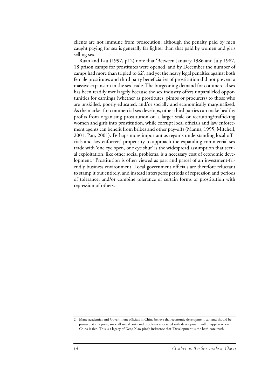clients are not immune from prosecution, although the penalty paid by men caught paying for sex is generally far lighter than that paid by women and girls selling sex.

Ruan and Lau (1997, p12) note that 'Between January 1986 and July 1987, 18 prison camps for prostitutes were opened, and by December the number of camps had more than tripled to 62', and yet the heavy legal penalties against both female prostitutes and third party beneficiaries of prostitution did not prevent a massive expansion in the sex trade. The burgeoning demand for commercial sex has been readily met largely because the sex industry offers unparalleled opportunities for earnings (whether as prostitutes, pimps or procurers) to those who are unskilled, poorly educated, and/or socially and economically marginalized. As the market for commercial sex develops, other third parties can make healthy profits from organising prostitution on a larger scale or recruiting/trafficking women and girls into prostitution, while corrupt local officials and law enforcement agents can benefit from bribes and other pay-offs (Manns, 1995, Mitchell, 2001, Pan, 2001). Perhaps more important as regards understanding local officials and law enforcers' propensity to approach the expanding commercial sex trade with 'one eye open, one eye shut' is the widespread assumption that sexual exploitation, like other social problems, is a necessary cost of economic development.2 Prostitution is often viewed as part and parcel of an investment-friendly business environment. Local government officials are therefore reluctant to stamp it out entirely, and instead intersperse periods of repression and periods of tolerance, and/or combine tolerance of certain forms of prostitution with repression of others.

<sup>2</sup> Many academics and Government officials in China believe that economic development can and should be pursued at any price, since all social costs and problems associated with development will disappear when China is rich. This is a legacy of Deng Xiao-ping's insistence that 'Development is the hard-core truth'.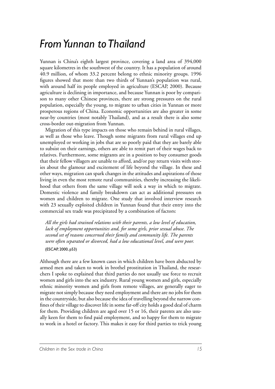#### *From Yunnan to Thailand*

Yunnan is China's eighth largest province, covering a land area of 394,000 square kilometres in the southwest of the country. It has a population of around 40.9 million, of whom 33.2 percent belong to ethnic minority groups. 1996 figures showed that more than two thirds of Yunnan's population was rural, with around half its people employed in agriculture (ESCAP, 2000). Because agriculture is declining in importance, and because Yunnan is poor by comparison to many other Chinese provinces, there are strong pressures on the rural population, especially the young, to migrate to urban cities in Yunnan or more prosperous regions of China. Economic opportunities are also greater in some near-by countries (most notably Thailand), and as a result there is also some cross-border out-migration from Yunnan.

Migration of this type impacts on those who remain behind in rural villages, as well as those who leave. Though some migrants from rural villages end up unemployed or working in jobs that are so poorly paid that they are barely able to subsist on their earnings, others are able to remit part of their wages back to relatives. Furthermore, some migrants are in a position to buy consumer goods that their fellow villagers are unable to afford, and/or pay return visits with stories about the glamour and excitement of life beyond the village. In these and other ways, migration can spark changes in the attitudes and aspirations of those living in even the most remote rural communities, thereby increasing the likelihood that others from the same village will seek a way in which to migrate. Domestic violence and family breakdown can act as additional pressures on women and children to migrate. One study that involved interview research with 23 sexually exploited children in Yunnan found that their entry into the commercial sex trade was precipitated by a combination of factors:

*All the girls had strained relations with their parents, a low level of education, lack of employment opportunities and, for some girls, prior sexual abuse. The second set of reasons concerned their family and community life. The parents were often separated or divorced, had a low educational level, and were poor.* (ESCAP, 2000, p53)

Although there are a few known cases in which children have been abducted by armed men and taken to work in brothel prostitution in Thailand, the researchers I spoke to explained that third parties do not usually use force to recruit women and girls into the sex industry. Rural young women and girls, especially ethnic minority women and girls from remote villages, are generally eager to migrate not simply because they need employment and there are no jobs for them in the countryside, but also because the idea of travelling beyond the narrow confines of their village to discover life in some far-off city holds a good deal of charm for them. Providing children are aged over 15 or 16, their parents are also usually keen for them to find paid employment, and so happy for them to migrate to work in a hotel or factory. This makes it easy for third parties to trick young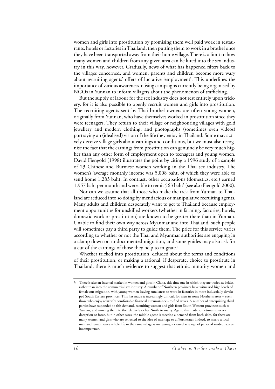women and girls into prostitution by promising them well paid work in restaurants, hotels or factories in Thailand, then putting them to work in a brothel once they have been transported away from their home village. There is a limit to how many women and children from any given area can be lured into the sex industry in this way, however. Gradually, news of what has happened filters back to the villages concerned, and women, parents and children become more wary about recruiting agents' offers of lucrative 'employment'. This underlines the importance of various awareness-raising campaigns currently being organised by NGOs in Yunnan to inform villagers about the phenomenon of trafficking.

But the supply of labour for the sex industry does not rest entirely upon trickery, for it is also possible to openly recruit women and girls into prostitution. The recruiting agents sent by Thai brothel owners are often young women, originally from Yunnan, who have themselves worked in prostitution since they were teenagers. They return to their village or neighbouring villages with gold jewellery and modern clothing, and photographs (sometimes even videos) portraying an (idealised) vision of the life they enjoy in Thailand. Some may actively deceive village girls about earnings and conditions, but we must also recognise the fact that the earnings from prostitution can genuinely be very much higher than any other form of employment open to teenagers and young women. David Fiengold (1998) illustrates the point by citing a 1996 study of a sample of 23 Chinese and Burmese women working in the Thai sex industry. The women's 'average monthly income was 5,008 baht, of which they were able to send home 1,283 baht. In contrast, other occupations (domestics, etc.) earned 1,957 baht per month and were able to remit 563 baht' (see also Fiengold 2000).

Nor can we assume that all those who make the trek from Yunnan to Thailand are seduced into so doing by mendacious or manipulative recruiting agents. Many adults and children desperately want to get to Thailand because employment opportunities for unskilled workers (whether in farming, factories, hotels, domestic work or prostitution) are known to be greater there than in Yunnan. Unable to find their own way across Myanmar and into Thailand, such people will sometimes pay a third party to guide them. The price for this service varies according to whether or not the Thai and Myanmar authorities are engaging in a clamp down on undocumented migration, and some guides may also ask for a cut of the earnings of those they help to migrate.<sup>3</sup>

Whether tricked into prostitution, deluded about the terms and conditions of their prostitution, or making a rational, if desperate, choice to prostitute in Thailand, there is much evidence to suggest that ethnic minority women and

<sup>3</sup> There is also an internal market in women and girls in China, this time one in which they are traded as brides, rather than into the commercial sex industry. A number of Northern provinces have witnessed high levels of female out-migration, with young women leaving rural areas to work in factories in more industrially developed South Eastern provinces. This has made it increasingly difficult for men in some Northern areas – even those who enjoy relatively comfortable financial circumstance - to find wives. A number of enterprising third parties have responded to this demand, recruiting women and girls from South Western provinces such as Yunnan, and moving them to the relatively richer North to marry. Again, this trade sometimes involves deception or force, but in other cases, the middle-agent is meeting a demand from both sides, for there are many women and girls who are attracted to the idea of marriage to a Northerner. Indeed, to marry a local man and remain one's whole life in the same village is increasingly viewed as a sign of personal inadequacy or incompetence.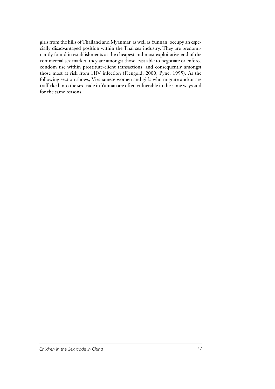girls from the hills of Thailand and Myanmar, as well as Yunnan, occupy an especially disadvantaged position within the Thai sex industry. They are predominantly found in establishments at the cheapest and most exploitative end of the commercial sex market, they are amongst those least able to negotiate or enforce condom use within prostitute-client transactions, and consequently amongst those most at risk from HIV infection (Fiengold, 2000, Pyne, 1995). As the following section shows, Vietnamese women and girls who migrate and/or are trafficked into the sex trade in Yunnan are often vulnerable in the same ways and for the same reasons.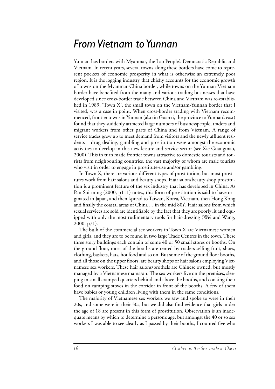#### *From Vietnam to Yunnan*

Yunnan has borders with Myanmar, the Lao People's Democratic Republic and Vietnam. In recent years, several towns along these borders have come to represent pockets of economic prosperity in what is otherwise an extremely poor region. It is the logging industry that chiefly accounts for the economic growth of towns on the Myanmar-China border, while towns on the Yunnan-Vietnam border have benefited from the many and various trading businesses that have developed since cross-border trade between China and Vietnam was re-established in 1989. 'Town X', the small town on the Vietnam-Yunnan border that I visited, was a case in point. When cross-border trading with Vietnam recommenced, frontier towns in Yunnan (also in Guanxi, the province to Yunnan's east) found that they suddenly attracted large numbers of businesspeople, traders and migrant workers from other parts of China and from Vietnam. A range of service trades grew up to meet demand from visitors and the newly affluent residents – drug dealing, gambling and prostitution were amongst the economic activities to develop in this new leisure and service sector (see Xie Guangmao, 2000). This in turn made frontier towns attractive to domestic tourists and tourists from neighbouring countries, the vast majority of whom are male tourists who visit in order to engage in prostitute-use and/or gambling.

In Town X, there are various different types of prostitution, but most prostitutes work from hair salons and beauty shops. Hair salon/beauty shop prostitution is a prominent feature of the sex industry that has developed in China. As Pan Sui-ming (2000, p111) notes, this form of prostitution is said to have originated in Japan, and then 'spread to Taiwan, Korea, Vietnam, then Hong Kong and finally the coastal areas of China… in the mid 80s'. Hair salons from which sexual services are sold are identifiable by the fact that they are poorly lit and equipped with only the most rudimentary tools for hair-dressing (Wei and Wang, 2000, p71).

The bulk of the commercial sex workers in Town X are Vietnamese women and girls, and they are to be found in two large Trade Centres in the town. These three story buildings each contain of some 40 or 50 small stores or booths. On the ground floor, most of the booths are rented by traders selling fruit, shoes, clothing, baskets, hats, hot food and so on. But some of the ground floor booths, and all those on the upper floors, are beauty shops or hair salons employing Vietnamese sex workers. These hair salons/brothels are Chinese owned, but mostly managed by a Vietnamese mamasan. The sex workers live on the premises, sleeping in small cramped quarters behind and above the booths, and cooking their food on camping stoves in the corridor in front of the booths. A few of them have babies or young children living with them in the same conditions.

The majority of Vietnamese sex workers we saw and spoke to were in their 20s, and some were in their 30s, but we did also find evidence that girls under the age of 18 are present in this form of prostitution. Observation is an inadequate means by which to determine a person's age, but amongst the 40 or so sex workers I was able to see clearly as I passed by their booths, I counted five who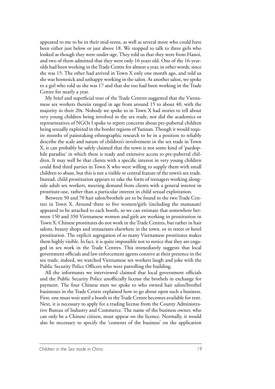appeared to me to be in their mid-teens, as well as several more who could have been either just below or just above 18. We stopped to talk to three girls who looked as though they were under-age. They told us that they were from Hanoi, and two of them admitted that they were only 16 years old. One of the 16-yearolds had been working in the Trade Centre for almost a year, in other words, since she was 15. The other had arrived in Town X only one month ago, and told us she was homesick and unhappy working in the salon. At another salon, we spoke to a girl who told us she was 17 and that she too had been working in the Trade Centre for nearly a year.

My brief and superficial tour of the Trade Centres suggested that the Vietnamese sex workers therein ranged in age from around 15 to about 40, with the majority in their 20s. Nobody we spoke to in Town X had stories to tell about very young children being involved in the sex trade, nor did the academics or representatives of NGOs I spoke to report concerns about pre-pubertal children being sexually exploited in the border regions of Yunnan. Though it would require months of painstaking ethnographic research to be in a position to reliably describe the scale and nature of children's involvement in the sex trade in Town X, it can probably be safely claimed that the town is not some kind of 'paedophile paradise' in which there is ready and extensive access to pre-pubertal children. It may well be that clients with a specific interest in very young children could find third parties in Town X who were willing to supply them with small children to abuse, but this is not a visible or central feature of the town's sex trade. Instead, child prostitution appears to take the form of teenagers working alongside adult sex workers, meeting demand from clients with a general interest in prostitute-use, rather than a particular interest in child sexual exploitation.

Between 50 and 70 hair salon/brothels are to be found in the two Trade Centres in Town X. Around three to five women/girls (including the mamasan) appeared to be attached to each booth, so we can estimate that somewhere between 150 and 350 Vietnamese women and girls are working in prostitution in Town X. Chinese prostitutes do not work in the Trade Centres, but rather in hair salons, beauty shops and restaurants elsewhere in the town, or in street or hotel prostitution. The explicit segregation of so many Vietnamese prostitutes makes them highly visible. In fact, it is quite impossible not to notice that they are engaged in sex work in the Trade Centres. This immediately suggests that local government officials and law enforcement agents connive at their presence in the sex trade, indeed, we watched Vietnamese sex workers laugh and joke with the Public Security Police Officers who were patrolling the building.

All the informants we interviewed claimed that local government officials and the Public Security Police unofficially license the brothels in exchange for payment. The four Chinese men we spoke to who owned hair salon/brothel businesses in the Trade Centre explained how to go about open such a business. First, one must wait until a booth in the Trade Centre becomes available for rent. Next, it is necessary to apply for a trading license from the County Administrative Bureau of Industry and Commerce. The name of the business owner, who can only be a Chinese citizen, must appear on the licence. Normally, it would also be necessary to specify the 'contents of the business' on the application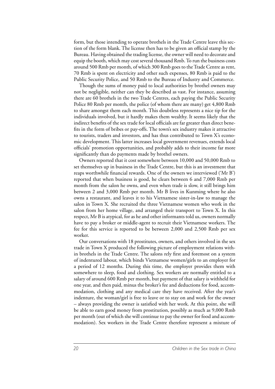form, but those intending to operate brothels in the Trade Centre leave this section of the form blank. The license then has to be given an official stamp by the Bureau. Having obtained the trading license, the owner will need to decorate and equip the booth, which may cost several thousand Rmb. To run the business costs around 500 Rmb per month, of which 300 Rmb goes to the Trade Centre as rent, 70 Rmb is spent on electricity and other such expenses, 80 Rmb is paid to the Public Security Police, and 50 Rmb to the Bureau of Industry and Commerce.

Though the sums of money paid to local authorities by brothel owners may not be negligible, neither can they be described as vast. For instance, assuming there are 60 brothels in the two Trade Centres, each paying the Public Security Police 80 Rmb per month, the police (of whom there are many) get 4,800 Rmb to share amongst them each month. This doubtless represents a nice tip for the individuals involved, but it hardly makes them wealthy. It seems likely that the indirect benefits of the sex trade for local officials are far greater than direct benefits in the form of bribes or pay-offs. The town's sex industry makes it attractive to tourists, traders and investors, and has thus contributed to Town X's economic development. This latter increases local government revenues, extends local officials' promotion opportunities, and probably adds to their income far more significantly than do payments made by brothel owners.

Owners reported that it cost somewhere between 10,000 and 50,000 Rmb to set themselves up in business in the Trade Centre, but this is an investment that reaps worthwhile financial rewards. One of the owners we interviewed ('Mr B') reported that when business is good, he clears between 6 and 7,000 Rmb per month from the salon he owns, and even when trade is slow, it still brings him between 2 and 3,000 Rmb per month. Mr B lives in Kunming where he also owns a restaurant, and leaves it to his Vietnamese sister-in-law to manage the salon in Town X. She recruited the three Vietnamese women who work in the salon from her home village, and arranged their transport to Town X. In this respect, Mr B is atypical, for as he and other informants told us, owners normally have to pay a broker or middle-agent to recruit their Vietnamese workers. The fee for this service is reported to be between 2,000 and 2,500 Rmb per sex worker.

Our conversations with 18 prostitutes, owners, and others involved in the sex trade in Town X produced the following picture of employment relations within brothels in the Trade Centre. The salons rely first and foremost on a system of indentured labour, which binds Vietnamese women/girls to an employer for a period of 12 months. During this time, the employer provides them with somewhere to sleep, food and clothing. Sex workers are normally entitled to a salary of around 600 Rmb per month, but payment of that salary is withheld for one year, and then paid, minus the broker's fee and deductions for food, accommodation, clothing and any medical care they have received. After the year's indenture, the woman/girl is free to leave or to stay on and work for the owner – always providing the owner is satisfied with her work. At this point, she will be able to earn good money from prostitution, possibly as much as 9,000 Rmb per month (out of which she will continue to pay the owner for food and accommodation). Sex workers in the Trade Centre therefore represent a mixture of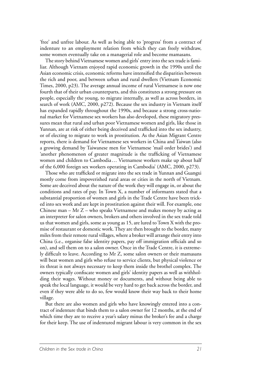'free' and unfree labour. As well as being able to 'progress' from a contract of indenture to an employment relation from which they can freely withdraw, some women eventually take on a managerial role and become mamasans.

The story behind Vietnamese women and girls' entry into the sex trade is familiar. Although Vietnam enjoyed rapid economic growth in the 1990s until the Asian economic crisis, economic reforms have intensified the disparities between the rich and poor, and between urban and rural dwellers (Vietnam Economic Times, 2000, p23). The average annual income of rural Vietnamese is now one fourth that of their urban counterparts, and this constitutes a strong pressure on people, especially the young, to migrate internally, as well as across borders, in search of work (AMC, 2000, p272). Because the sex industry in Vietnam itself has expanded rapidly throughout the 1990s, and because a strong cross-national market for Vietnamese sex workers has also developed, these migratory pressures mean that rural and urban poor Vietnamese women and girls, like those in Yunnan, are at risk of either being deceived and trafficked into the sex industry, or of electing to migrate to work in prostitution. As the Asian Migrant Centre reports, there is demand for Vietnamese sex workers in China and Taiwan (also a growing demand by Taiwanese men for Vietnamese 'mail order brides') and 'another phenomenon of greater magnitude is the trafficking of Vietnamese women and children to Cambodia… Vietnamese workers make up about half of the 6,000 foreign sex workers operating in Cambodia' (AMC, 2000, p273).

Those who are trafficked or migrate into the sex trade in Yunnan and Guangxi mostly come from impoverished rural areas or cities in the north of Vietnam. Some are deceived about the nature of the work they will engage in, or about the conditions and rates of pay. In Town X, a number of informants stated that a substantial proportion of women and girls in the Trade Centre have been tricked into sex work and are kept in prostitution against their will. For example, one Chinese man – Mr  $Z$  – who speaks Vietnamese and makes money by acting as an interpreter for salon owners, brokers and others involved in the sex trade told us that women and girls, some as young as 15, are lured to Town X with the promise of restaurant or domestic work. They are then brought to the border, many miles from their remote rural villages, where a broker will arrange their entry into China (i.e., organise false identity papers, pay off immigration officials and so on), and sell them on to a salon owner. Once in the Trade Centre, it is extremely difficult to leave. According to Mr Z, some salon owners or their mamasans will beat women and girls who refuse to service clients, but physical violence or its threat is not always necessary to keep them inside the brothel complex. The owners typically confiscate women and girls' identity papers as well as withholding their wages. Without money or documents, and without being able to speak the local language, it would be very hard to get back across the border, and even if they were able to do so, few would know their way back to their home village.

But there are also women and girls who have knowingly entered into a contract of indenture that binds them to a salon owner for 12 months, at the end of which time they are to receive a year's salary minus the broker's fee and a charge for their keep. The use of indentured migrant labour is very common in the sex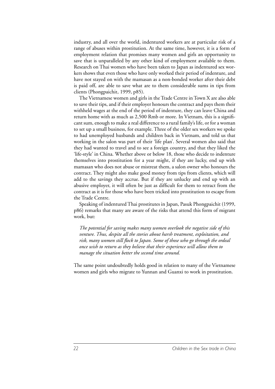industry, and all over the world, indentured workers are at particular risk of a range of abuses within prostitution. At the same time, however, it is a form of employment relation that promises many women and girls an opportunity to save that is unparalleled by any other kind of employment available to them. Research on Thai women who have been taken to Japan as indentured sex workers shows that even those who have only worked their period of indenture, and have not stayed on with the mamasan as a non-bonded worker after their debt is paid off, are able to save what are to them considerable sums in tips from clients (Phongpaichit, 1999, p85).

The Vietnamese women and girls in the Trade Centre in Town X are also able to save their tips, and if their employer honours the contract and pays them their withheld wages at the end of the period of indenture, they can leave China and return home with as much as 2,500 Rmb or more. In Vietnam, this is a significant sum, enough to make a real difference to a rural family's life, or for a woman to set up a small business, for example. Three of the older sex workers we spoke to had unemployed husbands and children back in Vietnam, and told us that working in the salon was part of their 'life plan'. Several women also said that they had wanted to travel and to see a foreign country, and that they liked the 'life-style' in China. Whether above or below 18, those who decide to indenture themselves into prostitution for a year might, if they are lucky, end up with mamasan who does not abuse or mistreat them, a salon owner who honours the contract. They might also make good money from tips from clients, which will add to the savings they accrue. But if they are unlucky and end up with an abusive employer, it will often be just as difficult for them to retract from the contract as it is for those who have been tricked into prostitution to escape from the Trade Centre.

Speaking of indentured Thai prostitutes in Japan, Pasuk Phongpaichit (1999, p86) remarks that many are aware of the risks that attend this form of migrant work, but:

*The potential for saving makes many women overlook the negative side of this venture. Thus, despite all the stories about harsh treatment, exploitation, and risk, many women still flock to Japan. Some of those who go through the ordeal once wish to return as they believe that their experience will allow them to manage the situation better the second time around.*

The same point undoubtedly holds good in relation to many of the Vietnamese women and girls who migrate to Yunnan and Guanxi to work in prostitution.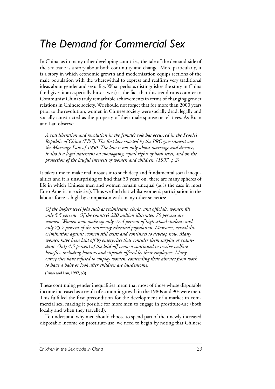### *The Demand for Commercial Sex*

In China, as in many other developing countries, the tale of the demand-side of the sex trade is a story about both continuity and change. More particularly, it is a story in which economic growth and modernisation equips sections of the male population with the wherewithal to express and reaffirm very traditional ideas about gender and sexuality. What perhaps distinguishes the story in China (and gives it an especially bitter twist) is the fact that this trend runs counter to Communist China's truly remarkable achievements in terms of changing gender relations in Chinese society. We should not forget that for more than 2000 years prior to the revolution, women in Chinese society were socially dead, legally and socially constructed as the property of their male spouse or relatives. As Ruan and Lau observe:

*A real liberation and revolution in the female's role has occurred in the People's Republic of China (PRC). The first law enacted by the PRC government was the Marriage Law of 1950. The law is not only about marriage and divorce, it also is a legal statement on monogamy, equal rights of both sexes, and on the protection of the lawful interests of women and children. (1997, p 2)*

It takes time to make real inroads into such deep and fundamental social inequalities and it is unsurprising to find that 50 years on, there are many spheres of life in which Chinese men and women remain unequal (as is the case in most Euro-American societies). Thus we find that whilst women's participation in the labour-force is high by comparison with many other societies:

*Of the higher level jobs such as technicians, clerks, and officials, women fill only 5.5 percent. Of the country's 220 million illiterates, 70 percent are women. Women now make up only 37.4 percent of high school students and only 25.7 percent of the university educated population. Moreover, actual discrimination against women still exists and continues to develop now. Many women have been laid off by enterprises that consider them surplus or redundant. Only 4.5 percent of the laid-off women continued to receive welfare benefits, including bonuses and stipends offered by their employers. Many enterprises have refused to employ women, contending their absence from work to have a baby or look after children are burdensome.* 

(Ruan and Lau, 1997, p3)

These continuing gender inequalities mean that most of those whose disposable income increased as a result of economic growth in the 1980s and 90s were men. This fulfilled the first precondition for the development of a market in commercial sex, making it possible for more men to engage in prostitute-use (both locally and when they travelled).

To understand why men should choose to spend part of their newly increased disposable income on prostitute-use, we need to begin by noting that Chinese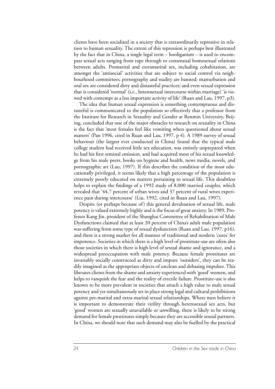clients have been socialised in a society that is extraordinarily repressive in relation to human sexuality. The extent of this repression is perhaps best illustrated by the fact that in China, a single legal term – hooliganism – is used to encompass sexual acts ranging from rape through to consensual homosexual relations between adults. Premarital and extramarital sex, including cohabitation, are amongst the 'antisocial' activities that are subject to social control via neighbourhood committees; pornography and nudity are banned; masturbation and oral sex are considered dirty and distasteful practices; and even sexual expression that is considered 'normal' (i.e., heterosexual intercourse within marriage) 'is viewed with contempt as a less important activity of life' (Ruan and Lau, 1997, p3).

The idea that human sexual expression is something contemptuous and distasteful is communicated to the population so effectively that a professor from the Institute for Research in Sexuality and Gender at Renmin University, Beijing, concluded that one of the major obstacles to research on sexuality in China is the fact that 'most females feel like vomiting when questioned about sexual matters' (Pan 1996, cited in Ruan and Lau, 1997, p 4). A 1989 survey of sexual behaviour (the largest ever conducted in China) found that the typical male college student had received little sex education, was entirely unprepared when he had his first seminal emission, and had acquired most of his sexual knowledge from his male peers, books on hygiene and health, news media, novels, and pornographic art (Lau, 1997). If this describes the condition of the most educationally privileged, it seems likely that a high percentage of the population is extremely poorly educated on matters pertaining to sexual life. This doubtless helps to explain the findings of a 1992 study of 8,000 married couples, which revealed that '44.7 percent of urban wives and 37 percent of rural wives experience pain during intercourse' (Liu, 1992, cited in Ruan and Lau, 1997).

Despite (or perhaps because of) this general devaluation of sexual life, male potency is valued extremely highly and is the focus of great anxiety. In 1989, Professor Kang Jin, president of the Shanghai Committee of Rehabilitation of Male Dysfunctions claimed that at least 20 percent of China's adult male population was suffering from some type of sexual dysfunction (Ruan and Lau, 1997, p16), and there is a strong market for all manner of traditional and modern 'cures' for impotence. Societies in which there is a high level of prostitute-use are often also those societies in which there is high level of sexual shame and ignorance, and a widespread preoccupation with male potency. Because female prostitutes are invariably socially constructed as dirty and impure 'outsiders', they can be readily imagined as the appropriate objects of unclean and debasing impulses. This liberates clients from the shame and anxiety experienced with 'good' women, and helps to vanquish the fear and the reality of erectile failure. Prostitute-use is also known to be more prevalent in societies that attach a high value to male sexual potency and yet simultaneously set in place strong legal and cultural prohibitions against pre-marital and extra-marital sexual relationships. Where men believe it is important to demonstrate their virility through heterosexual sex acts, but 'good' women are sexually unavailable or unwilling, there is likely to be strong demand for female prostitutes simply because they are accessible sexual partners. In China, we should note that such demand may also be fuelled by the practical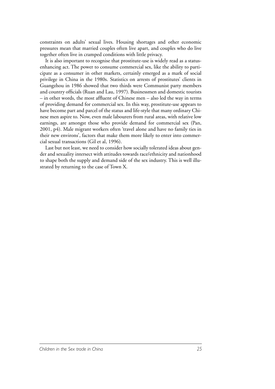constraints on adults' sexual lives. Housing shortages and other economic pressures mean that married couples often live apart, and couples who do live together often live in cramped conditions with little privacy.

It is also important to recognise that prostitute-use is widely read as a statusenhancing act. The power to consume commercial sex, like the ability to participate as a consumer in other markets, certainly emerged as a mark of social privilege in China in the 1980s. Statistics on arrests of prostitutes' clients in Guangzhou in 1986 showed that two thirds were Communist party members and country officials (Ruan and Lau, 1997). Businessmen and domestic tourists – in other words, the most affluent of Chinese men – also led the way in terms of providing demand for commercial sex. In this way, prostitute-use appears to have become part and parcel of the status and life-style that many ordinary Chinese men aspire to. Now, even male labourers from rural areas, with relative low earnings, are amongst those who provide demand for commercial sex (Pan, 2001, p4). Male migrant workers often 'travel alone and have no family ties in their new environs', factors that make them more likely to enter into commercial sexual transactions (Gil et al, 1996).

Last but not least, we need to consider how socially tolerated ideas about gender and sexuality intersect with attitudes towards race/ethnicity and nationhood to shape both the supply and demand side of the sex industry. This is well illustrated by returning to the case of Town X.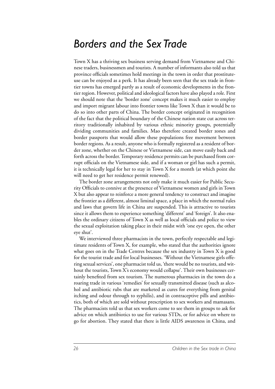#### *Borders and the Sex Trade*

Town X has a thriving sex business serving demand from Vietnamese and Chinese traders, businessmen and tourists. A number of informants also told us that province officials sometimes hold meetings in the town in order that prostituteuse can be enjoyed as a perk. It has already been seen that the sex trade in frontier towns has emerged partly as a result of economic developments in the frontier region. However, political and ideological factors have also played a role. First we should note that the 'border zone' concept makes it much easier to employ and import migrant labour into frontier towns like Town X than it would be to do so into other parts of China. The border concept originated in recognition of the fact that the political boundary of the Chinese nation state cut across territory traditionally inhabited by various ethnic minority groups, potentially dividing communities and families. Mao therefore created border zones and border passports that would allow these populations free movement between border regions. As a result, anyone who is formally registered as a resident of border zone, whether on the Chinese or Vietnamese side, can move easily back and forth across the border. Temporary residence permits can be purchased from corrupt officials on the Vietnamese side, and if a woman or girl has such a permit, it is technically legal for her to stay in Town X for a month (at which point she will need to get her residence permit renewed).

The border zone arrangements not only make it much easier for Public Security Officials to connive at the presence of Vietnamese women and girls in Town X but also appear to reinforce a more general tendency to construct and imagine the frontier as a different, almost liminal space, a place in which the normal rules and laws that govern life in China are suspended. This is attractive to tourists since it allows them to experience something 'different' and 'foreign'. It also enables the ordinary citizens of Town X as well as local officials and police to view the sexual exploitation taking place in their midst with 'one eye open, the other eye shut'.

We interviewed three pharmacists in the town, perfectly respectable and legitimate residents of Town X, for example, who stated that the authorities ignore what goes on in the Trade Centres because the sex industry in Town X is good for the tourist trade and for local businesses. 'Without the Vietnamese girls offering sexual services', one pharmacist told us, 'there would be no tourists, and without the tourists, Town X's economy would collapse'. Their own businesses certainly benefited from sex tourism. The numerous pharmacies in the town do a roaring trade in various 'remedies' for sexually transmitted disease (such as alcohol and antibiotic rubs that are marketed as cures for everything from genital itching and odour through to syphilis), and in contraceptive pills and antibiotics, both of which are sold without prescription to sex workers and mamasans. The pharmacists told us that sex workers come to see them in groups to ask for advice on which antibiotics to use for various STDs, or for advice on where to go for abortion. They stated that there is little AIDS awareness in China, and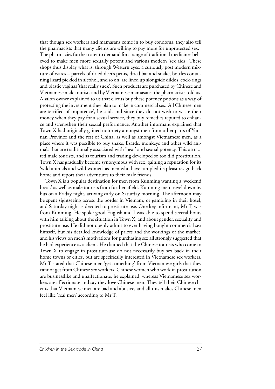that though sex workers and mamasans come in to buy condoms, they also tell the pharmacists that many clients are willing to pay more for unprotected sex. The pharmacies further cater to demand for a range of traditional medicines believed to make men more sexually potent and various modern 'sex aids'. These shops thus display what is, through Western eyes, a curiously post modern mixture of wares – parcels of dried deer's penis, dried bat and snake, bottles containing lizard pickled in alcohol, and so on, are lined up alongside dildos, cock-rings and plastic vaginas 'that really suck'. Such products are purchased by Chinese and Vietnamese male tourists and by Vietnamese mamasans, the pharmacists told us. A salon owner explained to us that clients buy these potency potions as a way of protecting the investment they plan to make in commercial sex. 'All Chinese men are terrified of impotence', he said, and since they do not wish to waste their money when they pay for a sexual service, they buy remedies reputed to enhance and strengthen their sexual performance. Another informant explained that Town X had originally gained notoriety amongst men from other parts of Yunnan Province and the rest of China, as well as amongst Vietnamese men, as a place where it was possible to buy snake, lizards, monkeys and other wild animals that are traditionally associated with 'heat' and sexual potency. This attracted male tourists, and as tourism and trading developed so too did prostitution. Town X has gradually become synonymous with sex, gaining a reputation for its 'wild animals and wild women' as men who have sampled its pleasures go back home and report their adventures to their male friends.

Town X is a popular destination for men from Kunming wanting a 'weekend break' as well as male tourists from further afield. Kunming men travel down by bus on a Friday night, arriving early on Saturday morning. The afternoon may be spent sightseeing across the border in Vietnam, or gambling in their hotel, and Saturday night is devoted to prostitute-use. One key informant, Mr T, was from Kunming. He spoke good English and I was able to spend several hours with him talking about the situation in Town X, and about gender, sexuality and prostitute-use. He did not openly admit to ever having bought commercial sex himself, but his detailed knowledge of prices and the workings of the market, and his views on men's motivations for purchasing sex all strongly suggested that he had experience as a client. He claimed that the Chinese tourists who come to Town X to engage in prostitute-use do not necessarily buy sex back in their home towns or cities, but are specifically interested in Vietnamese sex workers. Mr T stated that Chinese men 'get something' from Vietnamese girls that they cannot get from Chinese sex workers. Chinese women who work in prostitution are businesslike and unaffectionate, he explained, whereas Vietnamese sex workers are affectionate and say they love Chinese men. They tell their Chinese clients that Vietnamese men are bad and abusive, and all this makes Chinese men feel like 'real men' according to Mr T.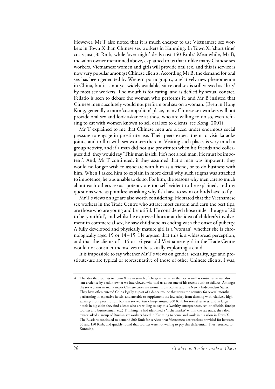However, Mr T also noted that it is much cheaper to use Vietnamese sex workers in Town X than Chinese sex workers in Kunming. In Town X, 'short time' costs just 50 Rmb, while 'over-night' deals cost 150 Rmb.<sup>4</sup> Meanwhile, Mr B, the salon owner mentioned above, explained to us that unlike many Chinese sex workers, Vietnamese women and girls will provide oral sex, and this is service is now very popular amongst Chinese clients. According Mr B, the demand for oral sex has been generated by Western pornography, a relatively new phenomenon in China, but it is not yet widely available, since oral sex is still viewed as 'dirty' by most sex workers. The mouth is for eating, and is defiled by sexual contact. Fellatio is seen to debase the woman who performs it, and Mr B insisted that Chinese men absolutely would not perform oral sex on a woman. (Even in Hong Kong, generally a more 'cosmopolitan' place, many Chinese sex workers will not provide oral sex and look askance at those who are willing to do so, even refusing to eat with women known to sell oral sex to clients, see Kong, 2001).

Mr T explained to me that Chinese men are placed under enormous social pressure to engage in prostitute-use. Their peers expect them to visit karaoke joints, and to flirt with sex workers therein. Visiting such places is very much a group activity, and if a man did not use prostitutes when his friends and colleagues did, they would say 'This man is sick. He's not a real man. He must be impotent'. And, Mr T continued, if they assumed that a man was impotent, they would no longer wish to associate with him as a friend, or to do business with him. When I asked him to explain in more detail why such stigma was attached to impotence, he was unable to do so. For him, the reasons why men care so much about each other's sexual potency are too self-evident to be explained, and my questions were as pointless as asking why fish have to swim or birds have to fly.

Mr T's views on age are also worth considering. He stated that the Vietnamese sex workers in the Trade Centre who attract most custom and earn the best tips, are those who are young and beautiful. He considered those under the age of 20 to be 'youthful', and whilst he expressed horror at the idea of children's involvement in commercial sex, he saw childhood as ending with the onset of puberty. A fully developed and physically mature girl is a 'woman', whether she is chronologically aged 19 or 14–15. He argued that this is a widespread perception, and that the clients of a 15 or 16-year-old Vietnamese girl in the Trade Centre would not consider themselves to be sexually exploiting a child.

It is impossible to say whether Mr T's views on gender, sexuality, age and prostitute-use are typical or representative of those of other Chinese clients. I was,

<sup>4</sup> The idea that tourists to Town X are in search of cheap sex – rather than or as well as exotic sex – was also lent credence by a salon owner we interviewed who told us about one of his recent business failures. Amongst the sex workers in many major Chinese cities are women from Russia and the Newly Independent States. They have often entered China legally as part of a dance troupe that tours the country for several months performing in expensive hotels, and are able to supplement the low salary from dancing with relatively high earnings from prostitution. Russian sex workers charge around 800 Rmb for sexual services, and in large hotels in big cities they find clients who are willing to pay this (wealthy entrepreneurs, senior officials, foreign tourists and businessmen, etc.) Thinking he had identified a 'niche market' within the sex trade, the salon owner asked a group of Russian sex workers based in Kunming to come and work in his salon in Town X. The Russians continued to demand 800 Rmb for services that Vietnamese sex workers provided for between 50 and 150 Rmb, and quickly found that tourists were not willing to pay this differential. They returned to Kunming.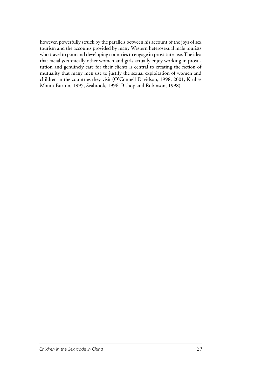however, powerfully struck by the parallels between his account of the joys of sex tourism and the accounts provided by many Western heterosexual male tourists who travel to poor and developing countries to engage in prostitute-use. The idea that racially/ethnically other women and girls actually enjoy working in prostitution and genuinely care for their clients is central to creating the fiction of mutuality that many men use to justify the sexual exploitation of women and children in the countries they visit (O'Connell Davidson, 1998, 2001, Kruhse Mount Burton, 1995, Seabrook, 1996, Bishop and Robinson, 1998).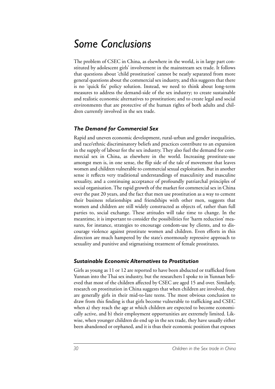### *Some Conclusions*

The problem of CSEC in China, as elsewhere in the world, is in large part constituted by adolescent girls' involvement in the mainstream sex trade. It follows that questions about 'child prostitution' cannot be neatly separated from more general questions about the commercial sex industry, and this suggests that there is no 'quick fix' policy solution. Instead, we need to think about long-term measures to address the demand-side of the sex industry; to create sustainable and realistic economic alternatives to prostitution; and to create legal and social environments that are protective of the human rights of both adults and children currently involved in the sex trade.

#### *The Demand for Commercial Sex*

Rapid and uneven economic development, rural-urban and gender inequalities, and race/ethnic discriminatory beliefs and practices contribute to an expansion in the supply of labour for the sex industry. They also fuel the demand for commercial sex in China, as elsewhere in the world. Increasing prostitute-use amongst men is, in one sense, the flip side of the tale of movement that leaves women and children vulnerable to commercial sexual exploitation. But in another sense it reflects very traditional understandings of masculinity and masculine sexuality, and a continuing acceptance of profoundly patriarchal principles of social organisation. The rapid growth of the market for commercial sex in China over the past 20 years, and the fact that men use prostitution as a way to cement their business relationships and friendships with other men, suggests that women and children are still widely constructed as objects of, rather than full parties to, social exchange. These attitudes will take time to change. In the meantime, it is important to consider the possibilities for 'harm reduction' measures, for instance, strategies to encourage condom-use by clients, and to discourage violence against prostitute women and children. Even efforts in this direction are much hampered by the state's enormously repressive approach to sexuality and punitive and stigmatising treatment of female prostitutes.

#### *Sustainable Economic Alternatives to Prostitution*

Girls as young as 11 or 12 are reported to have been abducted or trafficked from Yunnan into the Thai sex industry, but the researchers I spoke to in Yunnan believed that most of the children affected by CSEC are aged 15 and over. Similarly, research on prostitution in China suggests that when children are involved, they are generally girls in their mid-to-late teens. The most obvious conclusion to draw from this finding is that girls become vulnerable to trafficking and CSEC when a) they reach the age at which children are expected to become economically active, and b) their employment opportunities are extremely limited. Likwise, when younger children do end up in the sex trade, they have usually either been abandoned or orphaned, and it is thus their economic position that exposes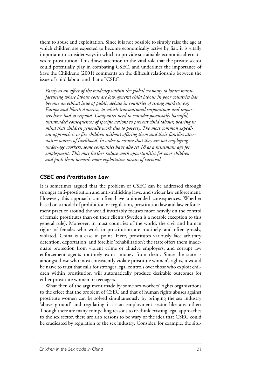them to abuse and exploitation. Since it is not possible to simply raise the age at which children are expected to become economically active by fiat, it is vitally important to consider ways in which to provide sustainable economic alternatives to prostitution. This draws attention to the vital role that the private sector could potentially play in combating CSEC, and underlines the importance of Save the Children's (2001) comments on the difficult relationship between the issue of child labour and that of CSEC:

*Partly as an effect of the tendency within the global economy to locate manufacturing where labour costs are low, general child labour in poor countries has become an ethical issue of public debate in countries of strong markets, e.g. Europe and North America, to which transnational corporations and importers have had to respond. Companies need to consider potentially harmful, unintended consequences of specific actions to prevent child labour, bearing in mind that children generally work due to poverty. The most common expedient approach is to fire children without offering them and their families alternative sources of livelihood. In order to ensure that they are not employing under-age workers, some companies have also set 18 as a minimum age for employment. This may further reduce work opportunities for poor children and push them towards more exploitative means of survival.* 

#### *CSEC and Prostitution Law*

It is sometimes argued that the problem of CSEC can be addressed through stronger anti-prostitution and anti-trafficking laws, and stricter law enforcement. However, this approach can often have unintended consequences. Whether based on a model of prohibition or regulation, prostitution law and law enforcement practice around the world invariably focuses more heavily on the control of female prostitutes than on their clients (Sweden is a notable exception to this general rule). Moreover, in most countries of the world, the civil and human rights of females who work in prostitution are routinely, and often grossly, violated. China is a case in point. Here, prostitutes variously face arbitrary detention, deportation, and forcible 'rehabilitation'; the state offers them inadequate protection from violent crime or abusive employers, and corrupt law enforcement agents routinely extort money from them. Since the state is amongst those who most consistently violate prostitute women's rights, it would be naïve to trust that calls for stronger legal controls over those who exploit children within prostitution will automatically produce desirable outcomes for either prostitute women or teenagers.

What then of the argument made by some sex workers' rights organisations to the effect that the problem of CSEC and that of human rights abuses against prostitute women can be solved simultaneously by bringing the sex industry 'above ground' and regulating it as an employment sector like any other? Though there are many compelling reasons to re-think existing legal approaches to the sex sector, there are also reasons to be wary of the idea that CSEC could be eradicated by regulation of the sex industry. Consider, for example, the situ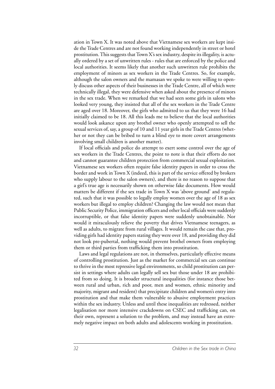ation in Town X. It was noted above that Vietnamese sex workers are kept inside the Trade Centres and are not found working independently in street or hotel prostitution. This suggests that Town X's sex industry, despite its illegality, is actually ordered by a set of unwritten rules - rules that are enforced by the police and local authorities. It seems likely that another such unwritten rule prohibits the employment of minors as sex workers in the Trade Centres. So, for example, although the salon owners and the mamasan we spoke to were willing to openly discuss other aspects of their businesses in the Trade Centre, all of which were technically illegal, they were defensive when asked about the presence of minors in the sex trade. When we remarked that we had seen some girls in salons who looked very young, they insisted that all of the sex workers in the Trade Centre are aged over 18. Moreover, the girls who admitted to us that they were 16 had initially claimed to be 18. All this leads me to believe that the local authorities would look askance upon any brothel owner who openly attempted to sell the sexual services of, say, a group of 10 and 11 year girls in the Trade Centres (whether or not they can be bribed to turn a blind eye to more covert arrangements involving small children is another matter).

If local officials and police do attempt to exert some control over the age of sex workers in the Trade Centres, the point to note is that their efforts do not and cannot guarantee children protection from commercial sexual exploitation. Vietnamese sex workers often require false identity papers in order to cross the border and work in Town X (indeed, this is part of the service offered by brokers who supply labour to the salon owners), and there is no reason to suppose that a girl's true age is necessarily shown on otherwise fake documents. How would matters be different if the sex trade in Town X was 'above ground' and regulated, such that it was possible to legally employ women over the age of 18 as sex workers but illegal to employ children? Changing the law would not mean that Public Security Police, immigration officers and other local officials were suddenly incorruptible, or that false identity papers were suddenly unobtainable. Nor would it miraculously relieve the poverty that drives Vietnamese teenagers, as well as adults, to migrate from rural villages. It would remain the case that, providing girls had identity papers stating they were over 18, and providing they did not look pre-pubertal, nothing would prevent brothel owners from employing them or third parties from trafficking them into prostitution.

Laws and legal regulations are not, in themselves, particularly effective means of controlling prostitution. Just as the market for commercial sex can continue to thrive in the most repressive legal environments, so child prostitution can persist in settings where adults can legally sell sex but those under 18 are prohibited from so doing. It is broader structural inequalities (for instance those between rural and urban, rich and poor, men and women, ethnic minority and majority, migrant and resident) that precipitate children and women's entry into prostitution and that make them vulnerable to abusive employment practices within the sex industry. Unless and until these inequalities are redressed, neither legalisation nor more intensive crackdowns on CSEC and trafficking can, on their own, represent a solution to the problem, and may instead have an extremely negative impact on both adults and adolescents working in prostitution.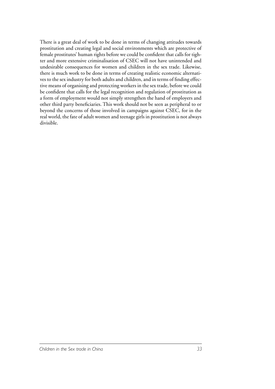There is a great deal of work to be done in terms of changing attitudes towards prostitution and creating legal and social environments which are protective of female prostitutes' human rights before we could be confident that calls for tighter and more extensive criminalisation of CSEC will not have unintended and undesirable consequences for women and children in the sex trade. Likewise, there is much work to be done in terms of creating realistic economic alternatives to the sex industry for both adults and children, and in terms of finding effective means of organising and protecting workers in the sex trade, before we could be confident that calls for the legal recognition and regulation of prostitution as a form of employment would not simply strengthen the hand of employers and other third party beneficiaries. This work should not be seen as peripheral to or beyond the concerns of those involved in campaigns against CSEC, for in the real world, the fate of adult women and teenage girls in prostitution is not always divisible.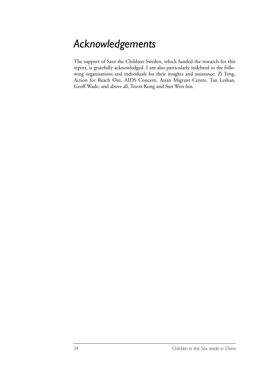## *Acknowledgements*

The support of Save the Children Sweden, which funded the research for this report, is gratefully acknowledged. I am also particularly indebted to the following organisations and individuals for their insights and assistance: Zi Teng, Action for Reach Out, AIDS Concern, Asian Migrant Centre, Tan Leshan, Geoff Wade, and above all, Travis Kong and Sun Wen-bin.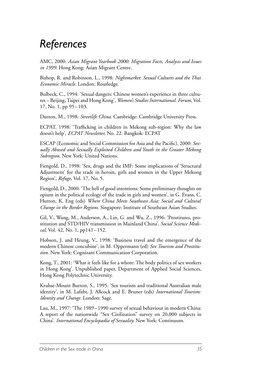### *References*

AMC, 2000: *Asian Migrant Yearbook 2000: Migration Facts, Analysis and Issues in 1999.* Hong Kong: Asian Migrant Centre.

Bishop, R. and Robinson, L., 1998: *Nightmarket: Sexual Cultures and the Thai Economic Miracle.* London: Routledge.

Bulbeck, C., 1994: 'Sexual dangers: Chinese women's experience in three cultures – Beijing, Taipei and Hong Kong', *Women's Studies International. Forum*, Vol. 17, No. 1, pp 95–103.

Dutton, M., 1998: *Streetlife China.* Cambridge: Cambridge University Press.

ECPAT, 1998: 'Trafficking in children in Mekong sub-region: Why the law doesn't help', *ECPAT Newsletter,* No. 22. Bangkok: ECPAT

ESCAP (Economic and Social Commission for Asia and the Pacific), 2000: *Sexually Abused and Sexually Exploited Children and Youth in the Greater Mekong Subregion.* New York: United Nations.

Fiengold, D., 1998: 'Sex, drugs and the IMF: Some implications of 'Structural Adjustment' for the trade in heroin, girls and women in the Upper Mekong Region', *Refuge*, Vol. 17, No. 5.

Fiengold, D., 2000: 'The hell of good intentions: Some preliminary thoughts on opium in the political ecology of the trade in girls and women', in G. Evans, C. Hutton, K. Eng (eds) *Where China Meets Southeast Asia: Social and Cultural Change in the Border Regions.* Singapore: Institute of Southeast Asian Studies.

Gil, V., Wang, M., Anderson, A., Lin, G. and Wu, Z., 1996: 'Prostitutes, prostitution and STD/HIV transmission in Mainland China', *Social Science Medical,* Vol. 42, No. 1, pp141–152.

Hobson, J. and Heung, V., 1998: 'Business travel and the emergence of the modern Chinese concubine', in M. Oppermann (ed) *Sex Tourism and Prostitution.* New York: Cognizant Communication Corporation.

Kong, T., 2001: 'What it feels like for a whore: The body politics of sex workers in Hong Kong'. Unpublished paper, Department of Applied Social Sciences, Hong Kong Polytechnic University.

Kruhse-Mount Burton, S., 1995: 'Sex tourism and traditional Australian male identity', in M. Lafabt, J. Allcock and E. Bruner (eds) *International Tourism: Identity and Change.* London: Sage.

Lau, M., 1997: 'The 1989–1990 survey of sexual behaviour in modern China: A report of the nationwide "Sex Civilization" survey on 20,000 subjects in China'. *International Encyclopædia of Sexuality.* New York: Continuum.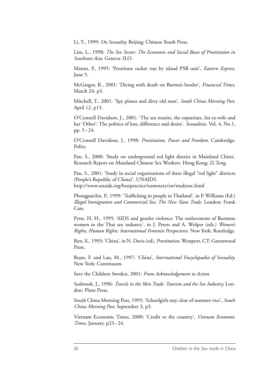Li, Y., 1999: *On Sexuality.* Beijing: Chinese Youth Press.

Lim, L., 1998: *The Sex Sector: The Economic and Social Bases of Prostitution in Southeast Asia.* Geneva: ILO.

Manns, P., 1995: 'Prostitute racket run by island PSB unit', *Eastern Express,* June 5.

McGregor, R., 2001: 'Dicing with death on Burma's border', *Financial Times,* March 24, p3.

Mitchell, T., 2001: 'Spy planes and dirty old men', *South China Morning Post,* April 12, p13.

O'Connell Davidson, J., 2001: 'The sex tourist, the expatriate, his ex-wife and her 'Other': The politics of loss, difference and desire'. *Sexualities*. Vol. 4, No.1, pp. 5–24.

O'Connell Davidson, J., 1998: *Prostitution, Power and Freedom.* Cambridge: Polity.

Pan, S., 2000: 'Study on underground red light district in Mainland China', Research Report on Mainland Chinese Sex Workers. Hong Kong: Zi Teng.

Pan, S., 2001: 'Study in social organizations of three illegal "red light" districts (People's Republic of China)', UNAIDS. http://www.unaids.org/bestpractice/summary/sw/studysoc.html

Phongpaichit, P., 1999: 'Trafficking in people in Thailand', in P. Williams (Ed.) *Illegal Immigration and Commercial Sex: The New Slave Trade.* London: Frank Cass.

Pyne, H. H., 1995: 'AIDS and gender violence: The enslavement of Burmese women in the Thai sex industry', in J. Peters and A. Wolper (eds.) *Women's Rights, Human Rights: International Feminist Perspectives.* New York: Routledge.

Ren, X., 1993: 'China', in N. Davis (ed), *Prostitution*. Westport, CT: Greenwood Press.

Ruan, F. and Lau, M., 1997: 'China', *International Encyclopædia of Sexuality.* New York: Continuum.

Save the Children Sweden, 2001: *From Acknowledgement to Action*

Seabrook, J., 1996: *Travels in the Skin Trade: Tourism and the Sex Industry.* London: Pluto Press.

South China Morning Post, 1995: 'Schoolgirls stay clear of summer vice', *South China Morning Post,* September 3, p3.

Vietnam Economic Times, 2000: 'Credit to the country', *Vietnam Economic Times,* January, p23–24.